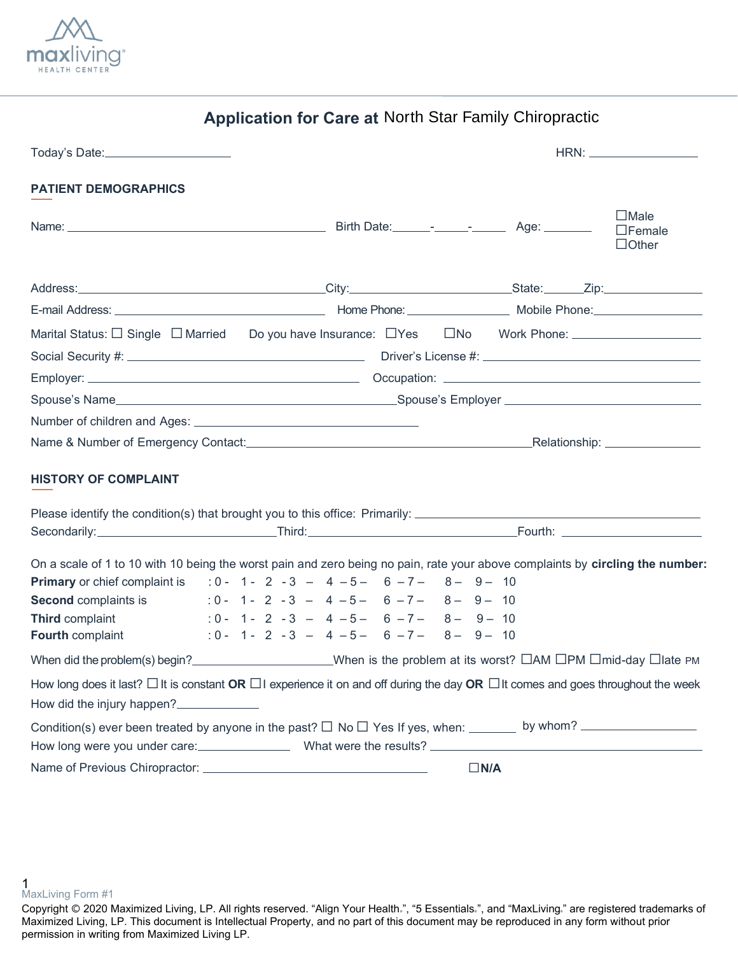

| <b>Application for Care at North Star Family Chiropractic</b> |  |  |  |  |  |  |
|---------------------------------------------------------------|--|--|--|--|--|--|
|---------------------------------------------------------------|--|--|--|--|--|--|

| <b>PATIENT DEMOGRAPHICS</b>                                                                                                                                                                                                                                                                                                                                                                     |  |  |  |  |  |                                                |            |  |                                              |
|-------------------------------------------------------------------------------------------------------------------------------------------------------------------------------------------------------------------------------------------------------------------------------------------------------------------------------------------------------------------------------------------------|--|--|--|--|--|------------------------------------------------|------------|--|----------------------------------------------|
|                                                                                                                                                                                                                                                                                                                                                                                                 |  |  |  |  |  |                                                |            |  | $\Box$ Male<br>$\Box$ Female<br>$\Box$ Other |
|                                                                                                                                                                                                                                                                                                                                                                                                 |  |  |  |  |  |                                                |            |  |                                              |
|                                                                                                                                                                                                                                                                                                                                                                                                 |  |  |  |  |  |                                                |            |  |                                              |
|                                                                                                                                                                                                                                                                                                                                                                                                 |  |  |  |  |  |                                                |            |  |                                              |
|                                                                                                                                                                                                                                                                                                                                                                                                 |  |  |  |  |  |                                                |            |  |                                              |
|                                                                                                                                                                                                                                                                                                                                                                                                 |  |  |  |  |  |                                                |            |  |                                              |
|                                                                                                                                                                                                                                                                                                                                                                                                 |  |  |  |  |  |                                                |            |  |                                              |
|                                                                                                                                                                                                                                                                                                                                                                                                 |  |  |  |  |  |                                                |            |  |                                              |
| Name & Number of Emergency Contact: Name and Content of Emergency Contact: Name & Number of Emergency Contact:                                                                                                                                                                                                                                                                                  |  |  |  |  |  |                                                |            |  |                                              |
| <b>HISTORY OF COMPLAINT</b><br>Please identify the condition(s) that brought you to this office: Primarily: _________________________________                                                                                                                                                                                                                                                   |  |  |  |  |  |                                                |            |  |                                              |
|                                                                                                                                                                                                                                                                                                                                                                                                 |  |  |  |  |  |                                                |            |  |                                              |
| On a scale of 1 to 10 with 10 being the worst pain and zero being no pain, rate your above complaints by circling the number:<br><b>Primary</b> or chief complaint is : $0 - 1 - 2 - 3 - 4 - 5 - 6 - 7 - 8 - 9 - 10$<br><b>Second</b> complaints is $0 - 1 - 2 - 3 - 4 - 5 - 6 - 7 - 8 - 9 - 10$<br><b>Third complaint</b><br>$:0 - 1 - 2 - 3 - 4 - 5 - 6 - 7 - 8 - 9 - 10$<br>Fourth complaint |  |  |  |  |  | $: 0 - 1 - 2 - 3 - 4 - 5 - 6 - 7 - 8 - 9 - 10$ |            |  |                                              |
| When did the problem(s) begin?<br>When is the problem at its worst? $\Box$ AM $\Box$ PM $\Box$ mid-day $\Box$ late PM                                                                                                                                                                                                                                                                           |  |  |  |  |  |                                                |            |  |                                              |
| How long does it last? $\Box$ It is constant OR $\Box$ I experience it on and off during the day OR $\Box$ It comes and goes throughout the week<br>How did the injury happen?<br>How long were you under care: ______________________What were the results? ___________________________________                                                                                                |  |  |  |  |  |                                                |            |  |                                              |
|                                                                                                                                                                                                                                                                                                                                                                                                 |  |  |  |  |  |                                                | $\Box N/A$ |  |                                              |

**1**<br>MaxLiving Form #1

<sup>.&</sup>quot;, "5 Essentials.", and "MaxLiving." are registered trademarks of Maximized Living, LP. This document is Intellectual Property, and no part of this document may be reproduced in any form without prior permission in writing from Maximized Living LP. Copyright Ⓒ 2020 Maximized Living, LP. All rights reserved. "Align Your Health ", "5 Essentials ", and "MaxLiving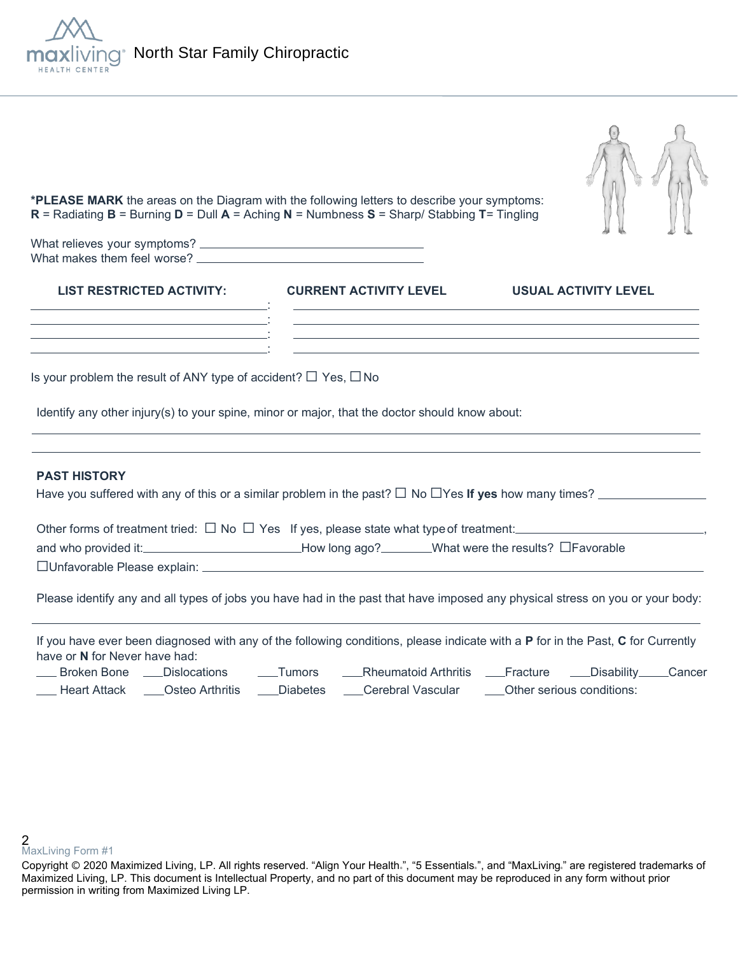

| *PLEASE MARK the areas on the Diagram with the following letters to describe your symptoms:<br>R = Radiating $B$ = Burning $D$ = Dull $A$ = Aching N = Numbness S = Sharp/ Stabbing T= Tingling<br>What relieves your symptoms? _<br>What makes them feel worse? |                                                                                          |                                                     |        |  |  |  |
|------------------------------------------------------------------------------------------------------------------------------------------------------------------------------------------------------------------------------------------------------------------|------------------------------------------------------------------------------------------|-----------------------------------------------------|--------|--|--|--|
| <b>LIST RESTRICTED ACTIVITY:</b>                                                                                                                                                                                                                                 | <b>CURRENT ACTIVITY LEVEL</b>                                                            | <b>USUAL ACTIVITY LEVEL</b>                         |        |  |  |  |
| Is your problem the result of ANY type of accident? $\Box$ Yes, $\Box$ No<br>Identify any other injury(s) to your spine, minor or major, that the doctor should know about:                                                                                      |                                                                                          |                                                     |        |  |  |  |
| <b>PAST HISTORY</b><br>Have you suffered with any of this or a similar problem in the past? $\Box$ No $\Box$ Yes If yes how many times?                                                                                                                          |                                                                                          |                                                     |        |  |  |  |
| Other forms of treatment tried: $\Box$ No $\Box$ Yes If yes, please state what type of treatment:<br>and who provided it:<br>□Unfavorable Please explain: _                                                                                                      | <u>__________________________How long ago?</u> ________What were the results? □Favorable |                                                     |        |  |  |  |
| Please identify any and all types of jobs you have had in the past that have imposed any physical stress on you or your body:                                                                                                                                    |                                                                                          |                                                     |        |  |  |  |
| If you have ever been diagnosed with any of the following conditions, please indicate with a P for in the Past, C for Currently<br>have or N for Never have had:<br><b>Broken Bone</b><br><b>Dislocations</b><br><b>Heart Attack</b><br>Osteo Arthritis          | <b>Rheumatoid Arthritis</b><br>_Tumors<br><b>Diabetes</b><br>Cerebral Vascular           | Disability<br>Fracture<br>Other serious conditions: | Cancer |  |  |  |

 $\frac{1}{\sqrt{2}}$ 

<sup>.&</sup>quot;, "5 Essentials.", and "MaxLiving." are registered trademarks of Maximized Living, LP. This document is Intellectual Property, and no part of this document may be reproduced in any form without prior permission in writing from Maximized Living LP. Copyright Ⓒ 2020 Maximized Living, LP. All rights reserved. "Align Your Health ", "5 Essentials ", and "MaxLiving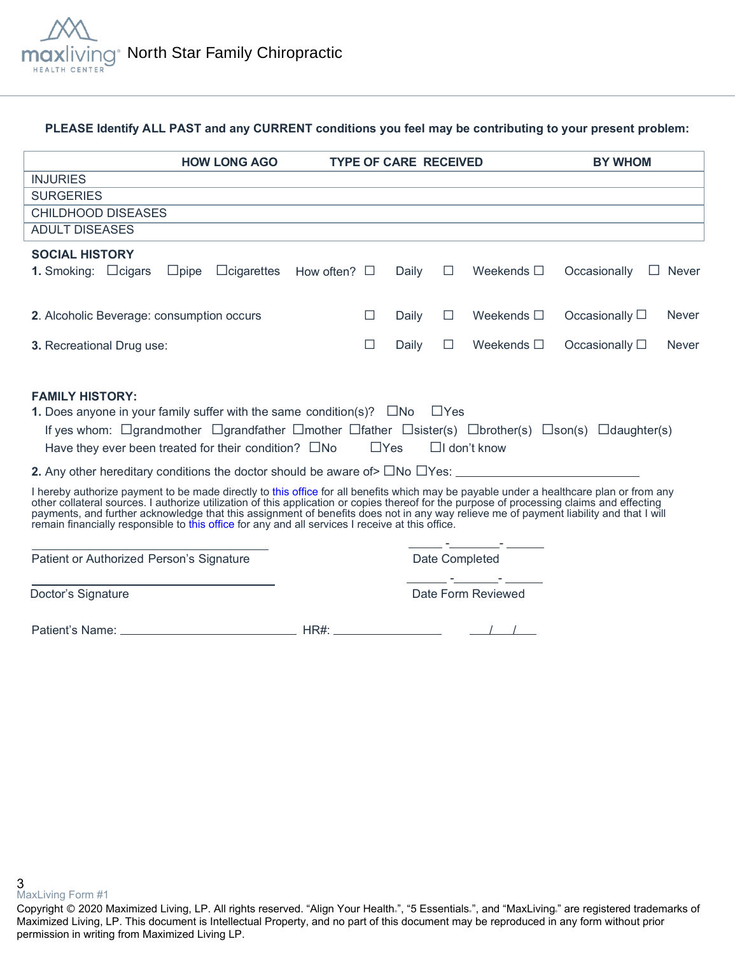

### **PLEASE Identify ALL PAST and any CURRENT conditions you feel may be contributing to your present problem:**

|                                                                                                                                                                                                                                                                                                                                                                                                                                                                                                                                     | <b>HOW LONG AGO</b>                             |            | <b>TYPE OF CARE RECEIVED</b> |        |                                                                                                                                                                                                                               | <b>BY WHOM</b>         |              |
|-------------------------------------------------------------------------------------------------------------------------------------------------------------------------------------------------------------------------------------------------------------------------------------------------------------------------------------------------------------------------------------------------------------------------------------------------------------------------------------------------------------------------------------|-------------------------------------------------|------------|------------------------------|--------|-------------------------------------------------------------------------------------------------------------------------------------------------------------------------------------------------------------------------------|------------------------|--------------|
| <b>INJURIES</b>                                                                                                                                                                                                                                                                                                                                                                                                                                                                                                                     |                                                 |            |                              |        |                                                                                                                                                                                                                               |                        |              |
| <b>SURGERIES</b>                                                                                                                                                                                                                                                                                                                                                                                                                                                                                                                    |                                                 |            |                              |        | the control of the control of the control of the control of the control of the control of the control of the control of the control of the control of the control of the control of the control of the control of the control |                        |              |
| <b>CHILDHOOD DISEASES</b>                                                                                                                                                                                                                                                                                                                                                                                                                                                                                                           |                                                 |            |                              |        | and the control of the control of the control of the control of the control of the control of the control of the                                                                                                              |                        |              |
| <b>ADULT DISEASES</b>                                                                                                                                                                                                                                                                                                                                                                                                                                                                                                               |                                                 |            |                              |        |                                                                                                                                                                                                                               |                        |              |
| <b>SOCIAL HISTORY</b>                                                                                                                                                                                                                                                                                                                                                                                                                                                                                                               |                                                 |            |                              |        |                                                                                                                                                                                                                               |                        |              |
| <b>1.</b> Smoking: $\Box$ cigars                                                                                                                                                                                                                                                                                                                                                                                                                                                                                                    | $\Box$ pipe $\Box$ cigarettes How often? $\Box$ |            | Daily                        | $\Box$ | Weekends $\Box$                                                                                                                                                                                                               | Occasionally           | $\Box$ Never |
| 2. Alcoholic Beverage: consumption occurs                                                                                                                                                                                                                                                                                                                                                                                                                                                                                           |                                                 | $\Box$     | Daily                        | $\Box$ | Weekends $\square$                                                                                                                                                                                                            | Occasionally $\square$ | <b>Never</b> |
| 3. Recreational Drug use:                                                                                                                                                                                                                                                                                                                                                                                                                                                                                                           |                                                 | $\Box$     | Daily                        | $\Box$ | Weekends $\square$                                                                                                                                                                                                            | Occasionally $\Box$    | <b>Never</b> |
| If yes whom: $\Box$ grandmother $\Box$ grandfather $\Box$ mother $\Box$ father $\Box$ sister(s) $\Box$ brother(s) $\Box$ son(s) $\Box$ daughter(s)<br>Have they ever been treated for their condition? $\square$ No                                                                                                                                                                                                                                                                                                                 |                                                 | $\Box$ Yes |                              |        | $\Box$ I don't know                                                                                                                                                                                                           |                        |              |
| I hereby authorize payment to be made directly to this office for all benefits which may be payable under a healthcare plan or from any<br>other collateral sources. I authorize utilization of this application or copies thereof for the purpose of processing claims and effecting<br>payments, and further acknowledge that this assignment of benefits does not in any way relieve me of payment liability and that I will<br>remain financially responsible to this office for any and all services I receive at this office. |                                                 |            |                              |        | <u> 1950 - Johann Barbara, martxa</u>                                                                                                                                                                                         |                        |              |
| Patient or Authorized Person's Signature                                                                                                                                                                                                                                                                                                                                                                                                                                                                                            |                                                 |            |                              |        | Date Completed<br><u> 1995 - Jan Barbara Barbara, primeira política de la provincia de la provincia de la provincia de la provincia</u>                                                                                       |                        |              |
|                                                                                                                                                                                                                                                                                                                                                                                                                                                                                                                                     |                                                 |            |                              |        |                                                                                                                                                                                                                               |                        |              |
| Doctor's Signature                                                                                                                                                                                                                                                                                                                                                                                                                                                                                                                  |                                                 |            |                              |        | Date Form Reviewed                                                                                                                                                                                                            |                        |              |

**3**<br>MaxLiving Form #1

<sup>.&</sup>quot;, "5 Essentials.", and "MaxLiving." are registered trademarks of Maximized Living, LP. This document is Intellectual Property, and no part of this document may be reproduced in any form without prior permission in writing from Maximized Living LP. Copyright Ⓒ 2020 Maximized Living, LP. All rights reserved. "Align Your Health ", "5 Essentials ", and "MaxLiving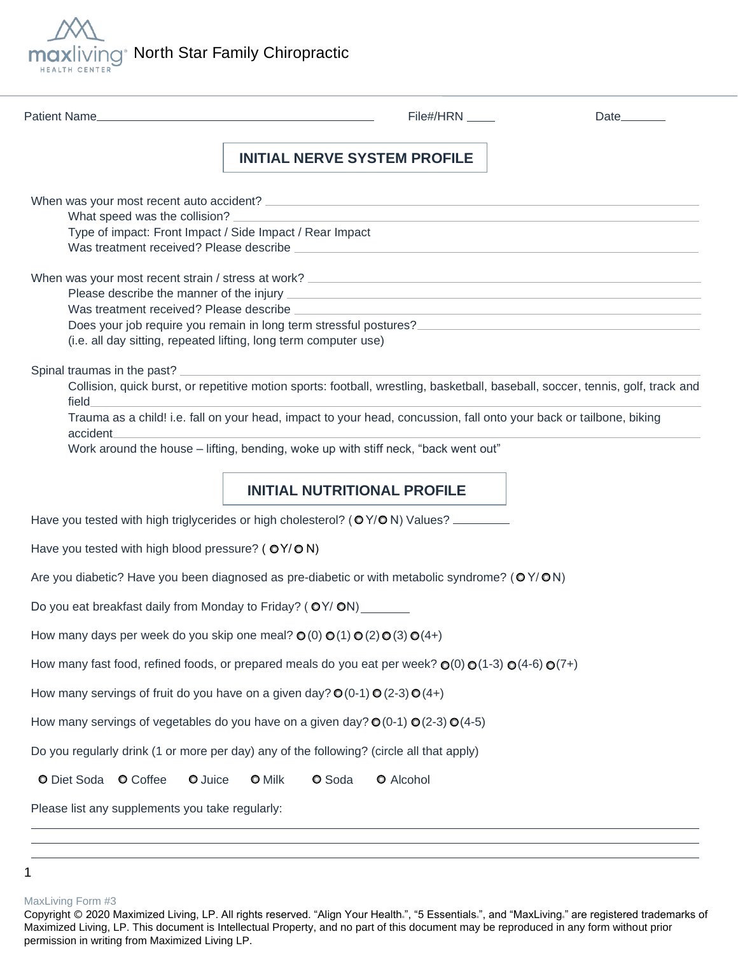

| Patient Name                                      | File#/HRN _____                                                                                                                                                                                                                                         | Date |
|---------------------------------------------------|---------------------------------------------------------------------------------------------------------------------------------------------------------------------------------------------------------------------------------------------------------|------|
|                                                   | <b>INITIAL NERVE SYSTEM PROFILE</b>                                                                                                                                                                                                                     |      |
|                                                   |                                                                                                                                                                                                                                                         |      |
|                                                   | Type of impact: Front Impact / Side Impact / Rear Impact                                                                                                                                                                                                |      |
|                                                   | Does your job require you remain in long term stressful postures?<br>The stress of the stress of the stress of the stress of the stress of the stress of the stress of the stress o<br>(i.e. all day sitting, repeated lifting, long term computer use) |      |
| Spinal traumas in the past?<br>field<br>accident_ | Collision, quick burst, or repetitive motion sports: football, wrestling, basketball, baseball, soccer, tennis, golf, track and<br>Trauma as a child! i.e. fall on your head, impact to your head, concussion, fall onto your back or tailbone, biking  |      |
|                                                   | Work around the house - lifting, bending, woke up with stiff neck, "back went out"                                                                                                                                                                      |      |
|                                                   | <b>INITIAL NUTRITIONAL PROFILE</b>                                                                                                                                                                                                                      |      |
|                                                   | Have you tested with high triglycerides or high cholesterol? (OY/ON) Values?                                                                                                                                                                            |      |
| Have you tested with high blood pressure? (OY/ON) |                                                                                                                                                                                                                                                         |      |
|                                                   | Are you diabetic? Have you been diagnosed as pre-diabetic or with metabolic syndrome? (OY/ON)                                                                                                                                                           |      |
|                                                   | Do you eat breakfast daily from Monday to Friday? (OY/ON)                                                                                                                                                                                               |      |
|                                                   | How many days per week do you skip one meal? $\mathbf{O}(0) \mathbf{O}(1) \mathbf{O}(2) \mathbf{O}(3) \mathbf{O}(4+)$                                                                                                                                   |      |
|                                                   | How many fast food, refined foods, or prepared meals do you eat per week? $\mathbb{O}(0) \mathbb{O}(1\text{-}3) \mathbb{O}(4\text{-}6) \mathbb{O}(7\text{+})$                                                                                           |      |
|                                                   | How many servings of fruit do you have on a given day? $\mathbb{O}(0-1) \mathbb{O}(2-3) \mathbb{O}(4+)$                                                                                                                                                 |      |
|                                                   | How many servings of vegetables do you have on a given day? $\mathbf{O}(0.1) \mathbf{O}(2.3) \mathbf{O}(4.5)$                                                                                                                                           |      |
|                                                   |                                                                                                                                                                                                                                                         |      |
|                                                   | Do you regularly drink (1 or more per day) any of the following? (circle all that apply)                                                                                                                                                                |      |
| O Diet Soda<br><b>O</b> Coffee<br>O Juice         | O Soda<br>O Alcohol<br><b>O</b> Milk                                                                                                                                                                                                                    |      |

<sup>1</sup> 

MaxLiving Form #3

Copyright © 2020 Maximized Living, LP. All rights reserved. "Align Your Health.", "5 Essentials.", and "MaxLiving." are registered trademarks of Maximized Living, LP. This document is Intellectual Property, and no part of this document may be reproduced in any form without prior permission in writing from Maximized Living LP.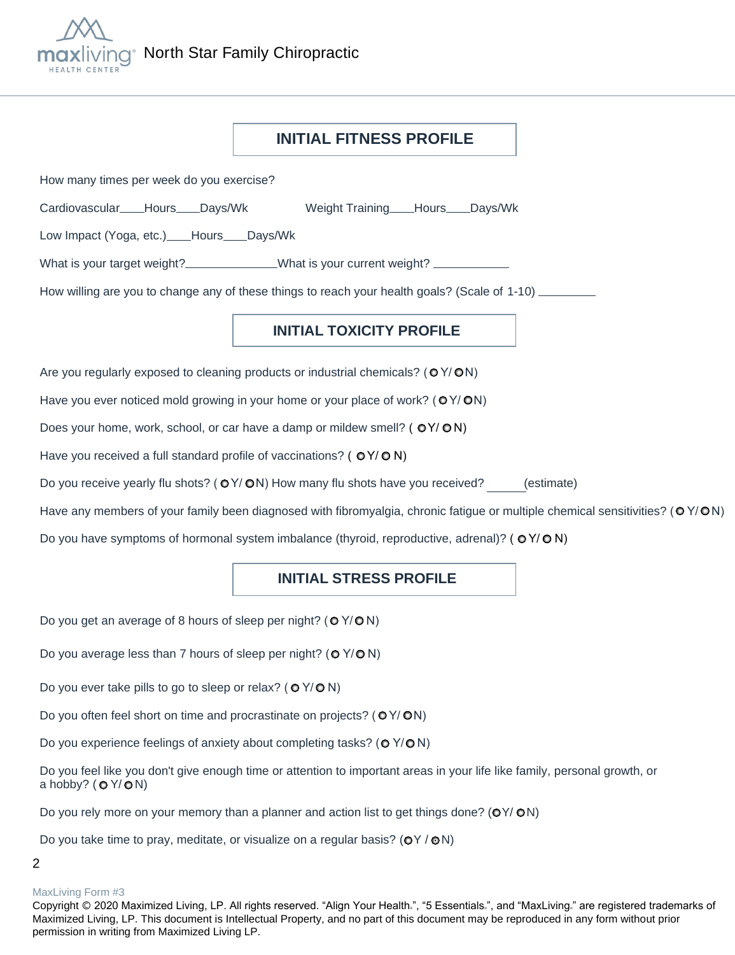

## **INITIAL FITNESS PROFILE**

How many times per week do you exercise?

Cardiovascular Hours Days/Wk Weight Training Hours Days/Wk

Low Impact (Yoga, etc.) Hours Days/Wk

What is your target weight? What is your current weight?

How willing are you to change any of these things to reach your health goals? (Scale of 1-10)

### **INITIAL TOXICITY PROFILE**

Are you regularly exposed to cleaning products or industrial chemicals? ( $O$ Y/ $O$ N)

Have you ever noticed mold growing in your home or your place of work? ( $\mathsf{O}Y/\mathsf{ON}$ )

Does your home, work, school, or car have a damp or mildew smell? ( $O(Y/ON)$ )

Have you received a full standard profile of vaccinations? ( $O(Y/O N)$ )

Do you receive yearly flu shots? ( $O$ Y/ $O$ N) How many flu shots have you received? (estimate)

Have any members of your family been diagnosed with fibromyalgia, chronic fatigue or multiple chemical sensitivities?  $(OY/ON)$ 

Do you have symptoms of hormonal system imbalance (thyroid, reproductive, adrenal)? ( $OY/O$  N)

## **INITIAL STRESS PROFILE**

Do you get an average of 8 hours of sleep per night? ( $O$  Y/ $O$  N)

Do you average less than 7 hours of sleep per night? ( $O$  Y/ $O$  N)

Do you ever take pills to go to sleep or relax? ( $O$  Y/ $O$  N)

Do you often feel short on time and procrastinate on projects? ( $O$ Y/ $O$ N)

Do you experience feelings of anxiety about completing tasks? ( $\odot$  Y/ $\odot$  N)

Do you feel like you don't give enough time or attention to important areas in your life like family, personal growth, or a hobby?  $(OY/ON)$ 

Do you rely more on your memory than a planner and action list to get things done? ( $OY/ON$ )

Do you take time to pray, meditate, or visualize on a regular basis? ( $OY / ON$ )

### 2

### MaxLiving Form #3

Copyright © 2020 Maximized Living, LP. All rights reserved. "Align Your Health.", "5 Essentials.", and "MaxLiving." are registered trademarks of Maximized Living, LP. This document is Intellectual Property, and no part of this document may be reproduced in any form without prior permission in writing from Maximized Living LP.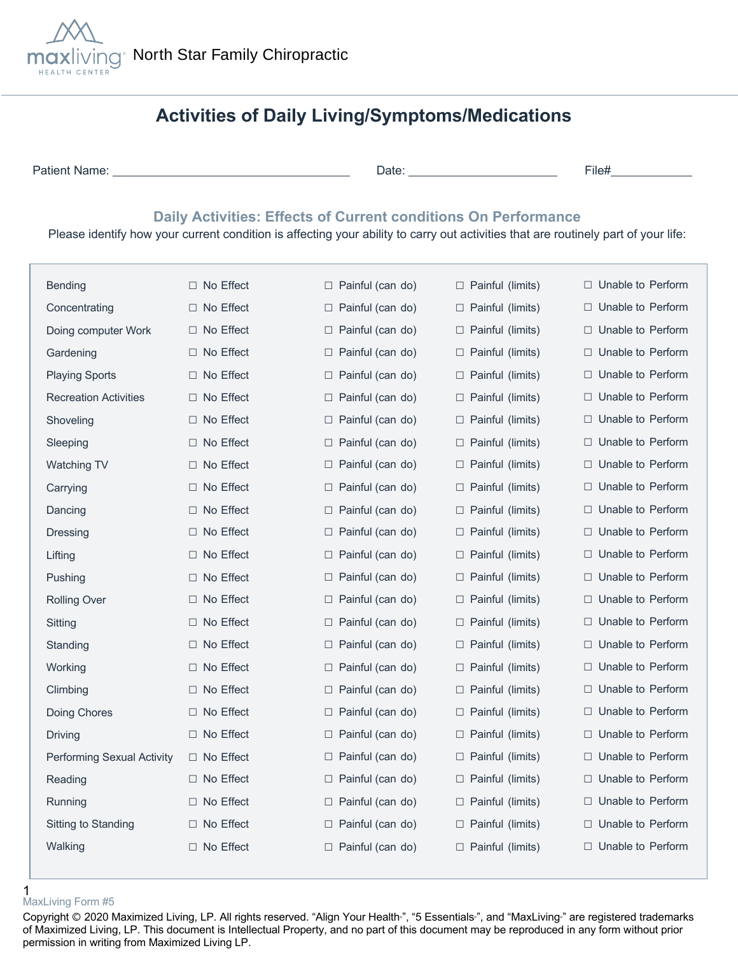

# **Activities of Daily Living/Symptoms/Medications**

Patient Name: Date: File#

## **Daily Activities: Effects of Current conditions On Performance**

Please identify how your current condition is affecting your ability to carry out activities that are routinely part of your life:

| <b>Bending</b>               | $\Box$ No Effect    | $\Box$ Painful (can do) | □ Painful (limits)         | Unable to Perform<br>⊔.     |
|------------------------------|---------------------|-------------------------|----------------------------|-----------------------------|
| Concentrating                | □ No Effect         | $\Box$ Painful (can do) | □ Painful (limits)         | □ Unable to Perform         |
| Doing computer Work          | $\Box$ No Effect    | $\Box$ Painful (can do) | □ Painful (limits)         | □ Unable to Perform         |
| Gardening                    | $\Box$ No Effect    | $\Box$ Painful (can do) | $\Box$ Painful (limits)    | □ Unable to Perform         |
| <b>Playing Sports</b>        | $\Box$ No Effect    | $\Box$ Painful (can do) | $\Box$ Painful (limits)    | $\Box$ Unable to Perform    |
| <b>Recreation Activities</b> | $\Box$ No Effect    | Painful (can do)<br>⊔   | $\Box$ Painful (limits)    | Unable to Perform<br>$\Box$ |
| Shoveling                    | $\Box$ No Effect    | $\Box$ Painful (can do) | □ Painful (limits)         | Unable to Perform<br>$\Box$ |
| Sleeping                     | $\Box$ No Effect    | $\Box$ Painful (can do) | □ Painful (limits)         | □ Unable to Perform         |
| <b>Watching TV</b>           | □ No Effect         | $\Box$ Painful (can do) | $\Box$ Painful (limits)    | □ Unable to Perform         |
| Carrying                     | $\Box$ No Effect    | $\Box$ Painful (can do) | □ Painful (limits)         | $\Box$ Unable to Perform    |
| Dancing                      | □ No Effect         | $\Box$ Painful (can do) | Painful (limits)<br>$\Box$ | □ Unable to Perform         |
| Dressing                     | No Effect<br>$\Box$ | $\Box$ Painful (can do) | □ Painful (limits)         | Unable to Perform<br>$\Box$ |
| Lifting                      | No Effect<br>⊔      | Painful (can do)<br>⊔   | □ Painful (limits)         | Unable to Perform<br>$\Box$ |
| Pushing                      | □ No Effect         | $\Box$ Painful (can do) | □ Painful (limits)         | □ Unable to Perform         |
| <b>Rolling Over</b>          | □ No Effect         | $\Box$ Painful (can do) | □ Painful (limits)         | $\Box$ Unable to Perform    |
| Sitting                      | □ No Effect         | $\Box$ Painful (can do) | $\Box$ Painful (limits)    | □ Unable to Perform         |
| Standing                     | $\Box$ No Effect    | $\Box$ Painful (can do) | $\Box$ Painful (limits)    | $\Box$ Unable to Perform    |
| Working                      | $\Box$ No Effect    | Painful (can do)<br>⊔   | □ Painful (limits)         | Unable to Perform<br>$\Box$ |
| Climbing                     | $\Box$ No Effect    | $\Box$ Painful (can do) | □ Painful (limits)         | Unable to Perform<br>$\Box$ |
| Doing Chores                 | $\Box$ No Effect    | $\Box$ Painful (can do) | □ Painful (limits)         | □ Unable to Perform         |
| Driving                      | □ No Effect         | $\Box$ Painful (can do) | $\Box$ Painful (limits)    | □ Unable to Perform         |
| Performing Sexual Activity   | $\Box$ No Effect    | $\Box$ Painful (can do) | □ Painful (limits)         | $\Box$ Unable to Perform    |
| Reading                      | No Effect           | $\Box$ Painful (can do) | □ Painful (limits)         | $\Box$ Unable to Perform    |
| Running                      | $\Box$ No Effect    | $\Box$ Painful (can do) | □ Painful (limits)         | Unable to Perform<br>$\Box$ |
| Sitting to Standing          | $\Box$ No Effect    | $\Box$ Painful (can do) | □ Painful (limits)         | □ Unable to Perform         |
| Walking                      | □ No Effect         | □ Painful (can do)      | □ Painful (limits)         | □ Unable to Perform         |
|                              |                     |                         |                            |                             |

#### 1 MaxLiving Form #5

Copyright © 2020 Maximized Living, LP. All rights reserved. "Align Your Health<sup>®</sup>, "5 Essentials<sup>®</sup>, and "MaxLiving<sup>®</sup> are registered trademarks of Maximized Living, LP. This document is Intellectual Property, and no part of this document may be reproduced in any form without prior permission in writing from Maximized Living LP.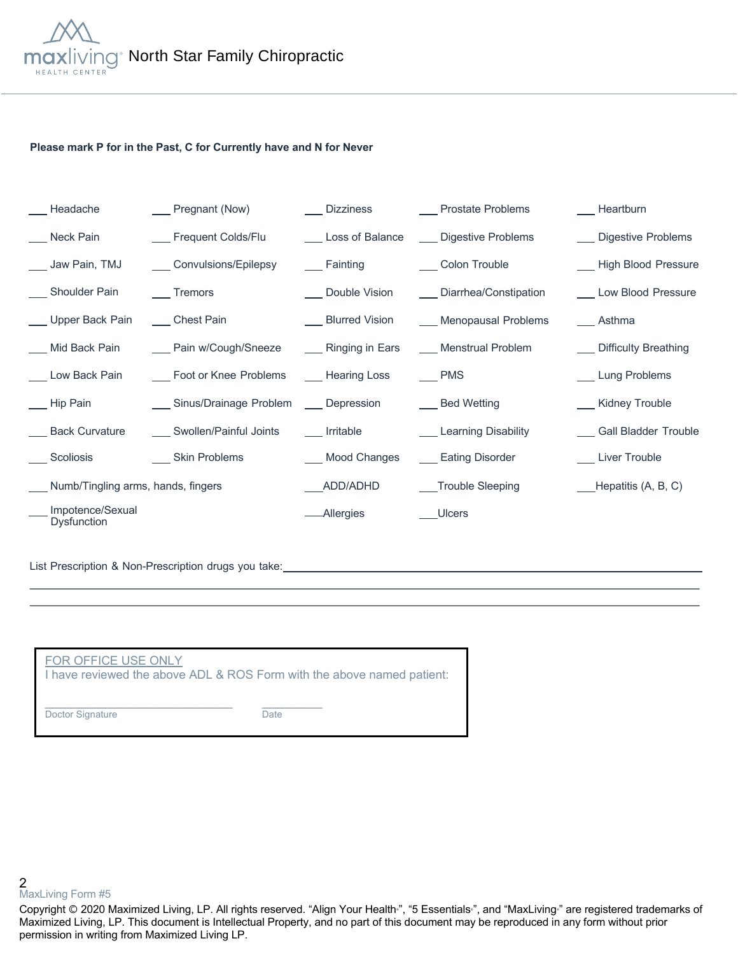

### **Please mark P for in the Past, C for Currently have and N for Never**

| Headache                           | $\frac{1}{2}$ Pregnant (Now)             | ___ Dizziness             | __ Prostate Problems      | Heartburn                |
|------------------------------------|------------------------------------------|---------------------------|---------------------------|--------------------------|
| Neck Pain                          | Frequent Colds/Flu                       | Loss of Balance           | Digestive Problems        | __ Digestive Problems    |
| ___ Jaw Pain, TMJ                  | ___ Convulsions/Epilepsy                 | <b>Example 1</b> Fainting | ___ Colon Trouble         | - High Blood Pressure    |
| Shoulder Pain                      | ____ Tremors                             | __ Double Vision          | ___ Diarrhea/Constipation | Low Blood Pressure       |
| Upper Back Pain                    | ___Chest Pain                            | __ Blurred Vision         | Menopausal Problems       | __ Asthma                |
| __ Mid Back Pain                   | ___ Pain w/Cough/Sneeze                  | ____ Ringing in Ears      | ___ Menstrual Problem     | ___ Difficulty Breathing |
| Low Back Pain                      | Foot or Knee Problems _____ Hearing Loss |                           | $\equiv$ PMS              | Lung Problems            |
| Hip Pain                           | Sinus/Drainage Problem ___ Depression    |                           | Bed Wetting               | __ Kidney Trouble        |
| ___ Back Curvature                 | ___ Swollen/Painful Joints               | ____ Irritable            | ___ Learning Disability   | __ Gall Bladder Trouble  |
| ___ Scoliosis                      | ____ Skin Problems                       | ___ Mood Changes          | ___ Eating Disorder       | __ Liver Trouble         |
| Numb/Tingling arms, hands, fingers |                                          | ADD/ADHD                  | Trouble Sleeping          | ___Hepatitis (A, B, C)   |
| Impotence/Sexual<br>Dysfunction    |                                          | -Allergies                | Ulcers                    |                          |

List Prescription & Non-Prescription drugs you take:<br>
<u>List Prescription & Non-Prescription drugs you take:</u>

| FOR OFFICE USE ONLY<br>I have reviewed the above ADL & ROS Form with the above named patient: |      |
|-----------------------------------------------------------------------------------------------|------|
| Doctor Signature                                                                              | Date |

2 MaxLiving Form #5

Copyright © 2020 Maximized Living, LP. All rights reserved. "Align Your Health<sub>"</sub>, "5 Essentials<sub>"</sub>, and "MaxLiving<sub>"</sub> are registered trademarks of Maximized Living, LP. This document is Intellectual Property, and no part of this document may be reproduced in any form without prior permission in writing from Maximized Living LP.